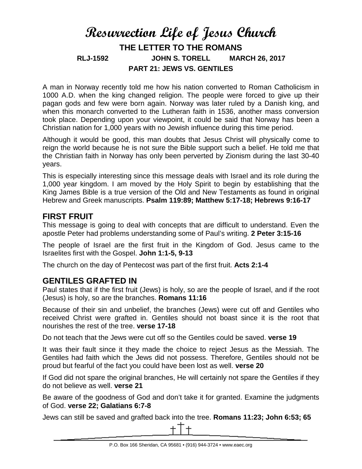# **Resurrection Life of Jesus Church THE LETTER TO THE ROMANS RLJ-1592 JOHN S. TORELL MARCH 26, 2017 PART 21: JEWS VS. GENTILES**

A man in Norway recently told me how his nation converted to Roman Catholicism in 1000 A.D. when the king changed religion. The people were forced to give up their pagan gods and few were born again. Norway was later ruled by a Danish king, and when this monarch converted to the Lutheran faith in 1536, another mass conversion took place. Depending upon your viewpoint, it could be said that Norway has been a Christian nation for 1,000 years with no Jewish influence during this time period.

Although it would be good, this man doubts that Jesus Christ will physically come to reign the world because he is not sure the Bible support such a belief. He told me that the Christian faith in Norway has only been perverted by Zionism during the last 30-40 years.

This is especially interesting since this message deals with Israel and its role during the 1,000 year kingdom. I am moved by the Holy Spirit to begin by establishing that the King James Bible is a true version of the Old and New Testaments as found in original Hebrew and Greek manuscripts. **Psalm 119:89; Matthew 5:17-18; Hebrews 9:16-17**

### **FIRST FRUIT**

This message is going to deal with concepts that are difficult to understand. Even the apostle Peter had problems understanding some of Paul's writing. **2 Peter 3:15-16**

The people of Israel are the first fruit in the Kingdom of God. Jesus came to the Israelites first with the Gospel. **John 1:1-5, 9-13**

The church on the day of Pentecost was part of the first fruit. **Acts 2:1-4**

## **GENTILES GRAFTED IN**

Paul states that if the first fruit (Jews) is holy, so are the people of Israel, and if the root (Jesus) is holy, so are the branches. **Romans 11:16**

Because of their sin and unbelief, the branches (Jews) were cut off and Gentiles who received Christ were grafted in. Gentiles should not boast since it is the root that nourishes the rest of the tree. **verse 17-18**

Do not teach that the Jews were cut off so the Gentiles could be saved. **verse 19**

It was their fault since it they made the choice to reject Jesus as the Messiah. The Gentiles had faith which the Jews did not possess. Therefore, Gentiles should not be proud but fearful of the fact you could have been lost as well. **verse 20**

If God did not spare the original branches, He will certainly not spare the Gentiles if they do not believe as well. **verse 21**

Be aware of the goodness of God and don't take it for granted. Examine the judgments of God. **verse 22; Galatians 6:7-8**

Jews can still be saved and grafted back into the tree. **Romans 11:23; John 6:53; 65**